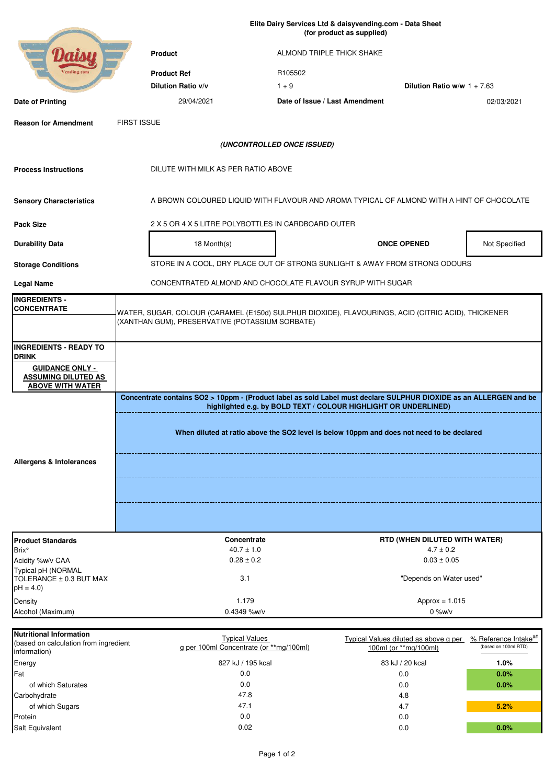**Product Product Ref Dilution Ratio v/v** 1 + 9 **Dilution Ratio w/w** 1 + 7.63 **Date of Printing** 02/03/2021 29/04/2021 **Date of Issue / Last Amendment Reason for Amendment Process Instructions Sensory Characteristics Pack Size Durability Data** 18 Month(s) **18 Month(s) CONCE OPENED** Not Specified **Storage Conditions Legal Name INGREDIENTS - CONCENTRATE INGREDIENTS - READY TO DRINK GUIDANCE ONLY - ASSUMING DILUTED AS ABOVE WITH WATER Product Standards** Brix° Acidity %w/v CAA Typical pH (NORMAL TOLERANCE ± 0.3 BUT MAX  $pH = 4.0$ **Density** Alcohol (Maximum) Typical Values diluted as above g per % Reference Intake<sup>##</sup> 100ml (or \*\*mg/100ml) (based on 100ml RTD) Energy 83 kJ / 20 kcal **1.0% (UNCONTROLLED ONCE ISSUED)** DILUTE WITH MILK AS PER RATIO ABOVE A BROWN COLOURED LIQUID WITH FLAVOUR AND AROMA TYPICAL OF ALMOND WITH A HINT OF CHOCOLATE CONCENTRATED ALMOND AND CHOCOLATE FLAVOUR SYRUP WITH SUGAR **Allergens & Intolerances Concentrate contains SO2 > 10ppm - (Product label as sold Label must declare SULPHUR DIOXIDE as an ALLERGEN and be highlighted e.g. by BOLD TEXT / COLOUR HIGHLIGHT OR UNDERLINED) When diluted at ratio above the SO2 level is below 10ppm and does not need to be declared** WATER, SUGAR, COLOUR (CARAMEL (E150d) SULPHUR DIOXIDE), FLAVOURINGS, ACID (CITRIC ACID), THICKENER (XANTHAN GUM), PRESERVATIVE (POTASSIUM SORBATE) FIRST ISSUE **Elite Dairy Services Ltd & daisyvending.com - Data Sheet (for product as supplied)**  ALMOND TRIPLE THICK SHAKE R105502 2 X 5 OR 4 X 5 LITRE POLYBOTTLES IN CARDBOARD OUTER STORE IN A COOL, DRY PLACE OUT OF STRONG SUNLIGHT & AWAY FROM STRONG ODOURS **Concentrate RTD (WHEN DILUTED WITH WATER)**  $4.7 \pm 1.0$   $4.7 \pm 0.2$ 1.179 Approx = 1.015 3.1  $0.28 \pm 0.2$  0.03  $\pm 0.05$ **Nutritional Information** (based on calculation from ingredient information) Typical Values g per 100ml Concentrate (or **\*\***mg/100ml) 0.4349 %w/v 0.4349 %w/v "Depends on Water used" 827 kJ / 195 kcal  $0.0$ 

Page 1 of 2

Salt Equivalent 0.0 **0.0%**

Fat 0.0 **0.0%** of which Saturates 0.0 **0.0%**

47.8 0.0

47.1 0.0 0.02

of which Sugars 4.7 **5.2%**

Carbohydrate 4.8 and the control of the control of the 47.8 and the control of the control of the control of the control of the control of the control of the control of the control of the control of the control of the cont

Protein and the contract of the contract of the contract of the contract of the contract of the contract of the contract of the contract of the contract of the contract of the contract of the contract of the contract of th